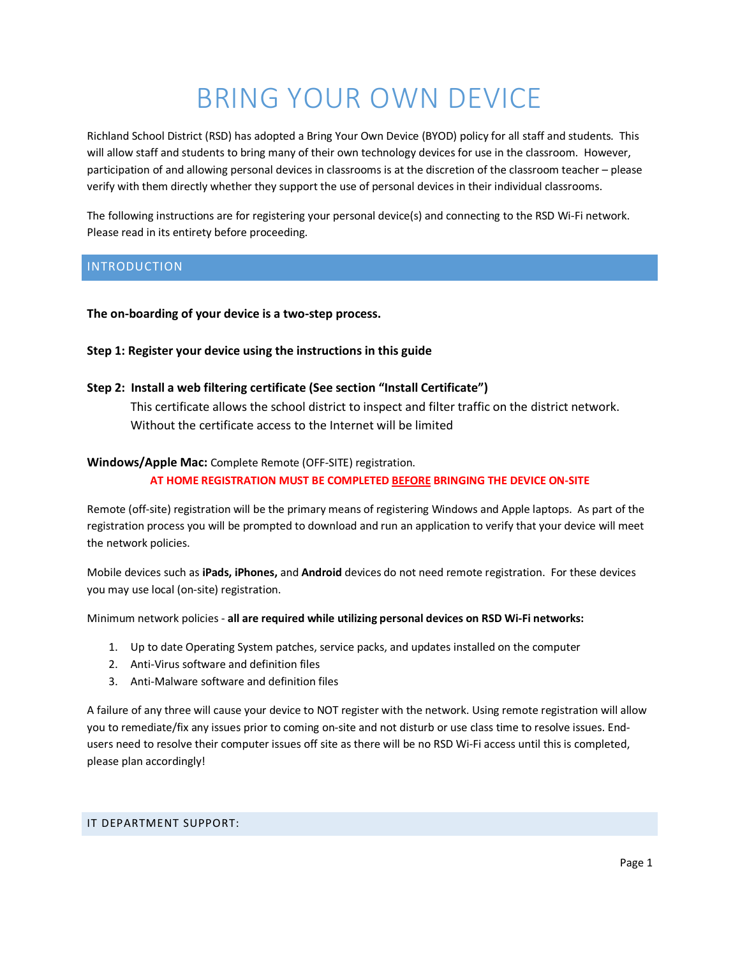# BRING YOUR OWN DEVICE

Richland School District (RSD) has adopted a Bring Your Own Device (BYOD) policy for all staff and students. This will allow staff and students to bring many of their own technology devices for use in the classroom. However, participation of and allowing personal devices in classrooms is at the discretion of the classroom teacher – please verify with them directly whether they support the use of personal devices in their individual classrooms.

The following instructions are for registering your personal device(s) and connecting to the RSD Wi-Fi network. Please read in its entirety before proceeding.

# INTRODUCTION

**The on-boarding of your device is a two-step process.**

**Step 1: Register your device using the instructions in this guide**

**Step 2: Install a web filtering certificate (See section "Install Certificate")**

This certificate allows the school district to inspect and filter traffic on the district network. Without the certificate access to the Internet will be limited

# **Windows/Apple Mac:** Complete Remote (OFF-SITE) registration.

**AT HOME REGISTRATION MUST BE COMPLETED BEFORE BRINGING THE DEVICE ON-SITE**

Remote (off-site) registration will be the primary means of registering Windows and Apple laptops. As part of the registration process you will be prompted to download and run an application to verify that your device will meet the network policies.

Mobile devices such as **iPads, iPhones,** and **Android** devices do not need remote registration. For these devices you may use local (on-site) registration.

Minimum network policies - **all are required while utilizing personal devices on RSD Wi-Fi networks:**

- 1. Up to date Operating System patches, service packs, and updates installed on the computer
- 2. Anti-Virus software and definition files
- 3. Anti-Malware software and definition files

A failure of any three will cause your device to NOT register with the network. Using remote registration will allow you to remediate/fix any issues prior to coming on-site and not disturb or use class time to resolve issues. Endusers need to resolve their computer issues off site as there will be no RSD Wi-Fi access until this is completed, please plan accordingly!

# IT DEPARTMENT SUPPORT: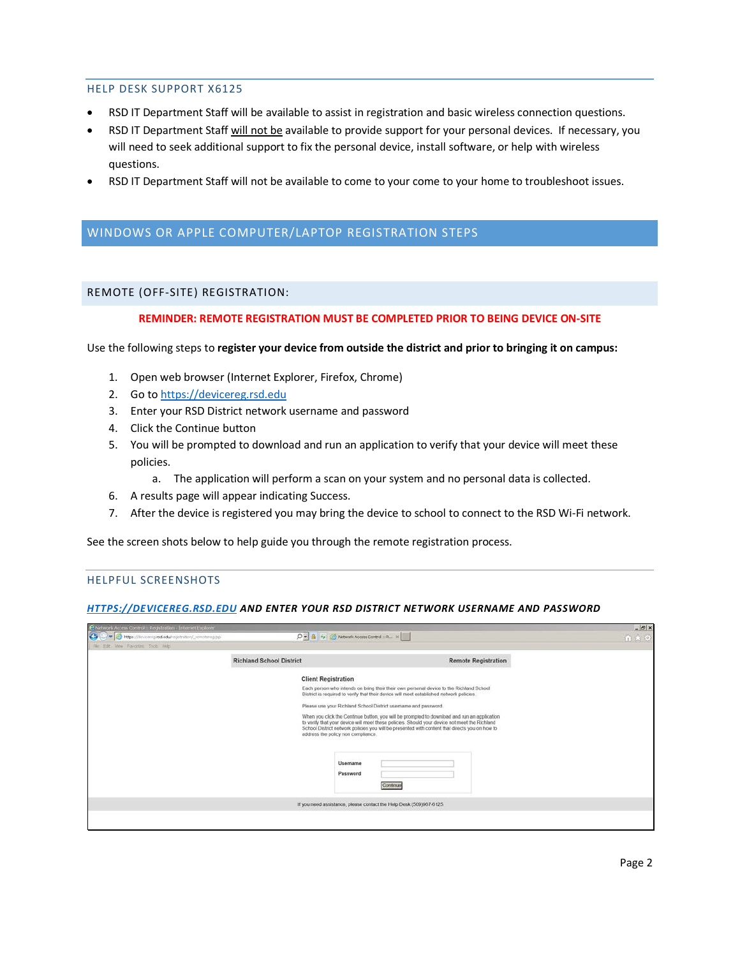#### HELP DESK SUPPORT X6125

- RSD IT Department Staff will be available to assist in registration and basic wireless connection questions.
- RSD IT Department Staff will not be available to provide support for your personal devices. If necessary, you will need to seek additional support to fix the personal device, install software, or help with wireless questions.
- RSD IT Department Staff will not be available to come to your come to your home to troubleshoot issues.

# WINDOWS OR APPLE COMPUTER/LAPTOP REGISTRATION STEPS

# REMOTE (OFF-SITE) REGISTRATION:

# **REMINDER: REMOTE REGISTRATION MUST BE COMPLETED PRIOR TO BEING DEVICE ON-SITE**

Use the following steps to **register your device from outside the district and prior to bringing it on campus:**

- 1. Open web browser (Internet Explorer, Firefox, Chrome)
- 2. Go t[o https://devicereg.rsd.edu](https://devicereg.rsd.edu/)
- 3. Enter your RSD District network username and password
- 4. Click the Continue button
- 5. You will be prompted to download and run an application to verify that your device will meet these policies.
	- a. The application will perform a scan on your system and no personal data is collected.
- 6. A results page will appear indicating Success.
- 7. After the device is registered you may bring the device to school to connect to the RSD Wi-Fi network.

See the screen shots below to help guide you through the remote registration process.

# HELPFUL SCREENSHOTS

#### *[HTTPS://DEVICEREG.RSD.EDU](https://devicereg.rsd.edu/) AND ENTER YOUR RSD DISTRICT NETWORK USERNAME AND PASSWORD*

| e Network Access Control :: Registration - Internet Explorer |                                                                                                                                                                                     |                                    |                                                                                                                                                                                              | $ \frac{1}{2}$ x |
|--------------------------------------------------------------|-------------------------------------------------------------------------------------------------------------------------------------------------------------------------------------|------------------------------------|----------------------------------------------------------------------------------------------------------------------------------------------------------------------------------------------|------------------|
| https://devicereg.rsd.edu/registratory/_renotereg.jtp        | $O = \frac{1}{2}$ + $\frac{1}{2}$ Nebvork Access Control :: R. X                                                                                                                    |                                    |                                                                                                                                                                                              | 合大分              |
| He Edt Who Favorites Tools Feld-                             |                                                                                                                                                                                     |                                    |                                                                                                                                                                                              |                  |
|                                                              | <b>Richland School District</b>                                                                                                                                                     |                                    | <b>Remote Registration</b>                                                                                                                                                                   |                  |
|                                                              | <b>Client Registration</b>                                                                                                                                                          |                                    |                                                                                                                                                                                              |                  |
|                                                              | Each person who intends on bring their their own personal device to the Richland School<br>District is required to verify that their device will meet established network policies. |                                    |                                                                                                                                                                                              |                  |
|                                                              | Please use your Richland School District username and password.                                                                                                                     |                                    |                                                                                                                                                                                              |                  |
|                                                              |                                                                                                                                                                                     |                                    | When you click the Continue button, you will be prompted to download and run an application<br>to verify that your device will meet these policies. Should your device not meet the Richland |                  |
|                                                              |                                                                                                                                                                                     | address the policy non compliance. | School District network policies you will be presented with content that directs you on how to                                                                                               |                  |
|                                                              |                                                                                                                                                                                     |                                    |                                                                                                                                                                                              |                  |
|                                                              |                                                                                                                                                                                     | Username                           |                                                                                                                                                                                              |                  |
|                                                              |                                                                                                                                                                                     | Password                           |                                                                                                                                                                                              |                  |
|                                                              |                                                                                                                                                                                     |                                    | Continue                                                                                                                                                                                     |                  |
|                                                              |                                                                                                                                                                                     |                                    | If you need assistance, please contact the Help Desk (509)967-6125.                                                                                                                          |                  |
|                                                              |                                                                                                                                                                                     |                                    |                                                                                                                                                                                              |                  |
|                                                              |                                                                                                                                                                                     |                                    |                                                                                                                                                                                              |                  |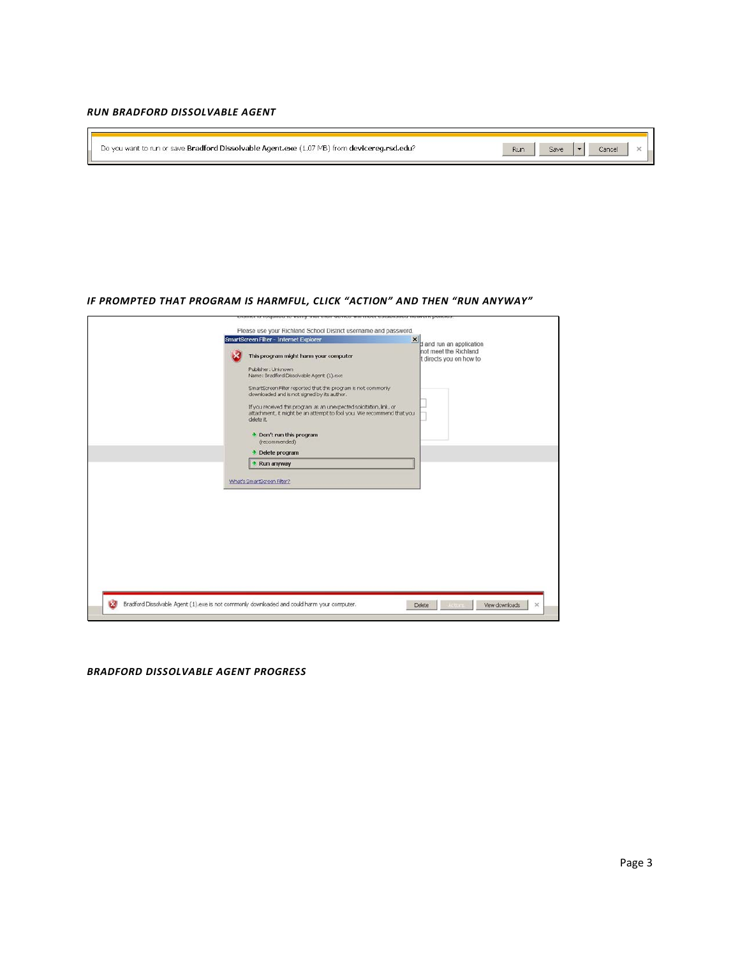#### *RUN BRADFORD DISSOLVABLE AGENT*

J.

| Do you want to run or save Bradford Dissolvable Agent.exe (1.07 MB) from devicereg.rsd.edu? | <b>Rur</b> | Save |  |  |
|---------------------------------------------------------------------------------------------|------------|------|--|--|
|                                                                                             |            |      |  |  |

# *IF PROMPTED THAT PROGRAM IS HARMFUL, CLICK "ACTION" AND THEN "RUN ANYWAY"*

|                                                                                             | SmartScreen Filter - Internet Explorer                                                                                                                                                                                                                                                                                                                                                                                                                                                                            | $\left  \frac{\mathbf{x}}{\mathbf{y}} \right $ and run an application |
|---------------------------------------------------------------------------------------------|-------------------------------------------------------------------------------------------------------------------------------------------------------------------------------------------------------------------------------------------------------------------------------------------------------------------------------------------------------------------------------------------------------------------------------------------------------------------------------------------------------------------|-----------------------------------------------------------------------|
|                                                                                             | This program might harm your computer<br>Publisher: Unknown<br>Name: Bradford Dissolvable Agent (1).exe<br>SmartScreen Filter reported that this program is not commonly<br>downloaded and is not signed by its author.<br>If you received this program as an unexpected solicitation, link, or<br>attachment, it might be an attempt to fool you. We recommend that you<br>delete it.<br>+ Don't run this program<br>(recommended)<br>$\rightarrow$ Delete program<br>+ Run anyway<br>What's SmartScreen Filter? | not meet the Richland<br>t directs you on how to                      |
| Bradford Dissolvable Agent (1) exe is not commonly downloaded and could harm your computer. |                                                                                                                                                                                                                                                                                                                                                                                                                                                                                                                   |                                                                       |

# *BRADFORD DISSOLVABLE AGENT PROGRESS*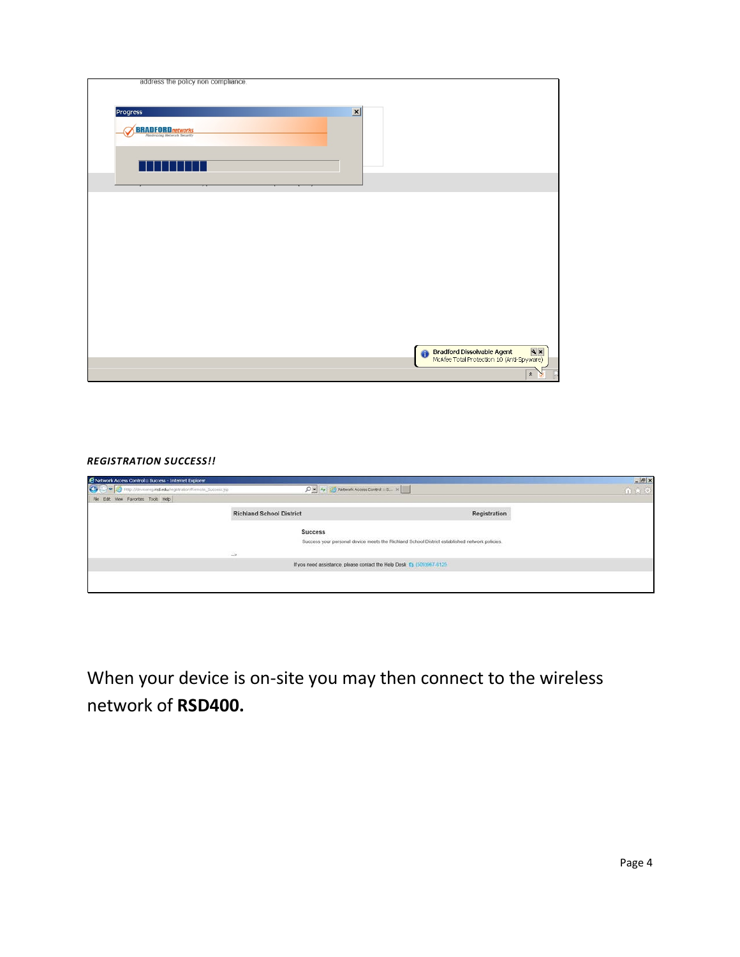| address the policy non compliance. |                               |
|------------------------------------|-------------------------------|
|                                    |                               |
|                                    |                               |
| Progress                           | $\vert x \vert$               |
|                                    |                               |
| <b>BRADFORDnetworks</b>            |                               |
|                                    |                               |
|                                    |                               |
|                                    |                               |
|                                    |                               |
|                                    |                               |
|                                    |                               |
|                                    |                               |
|                                    |                               |
|                                    |                               |
|                                    |                               |
|                                    |                               |
|                                    |                               |
|                                    |                               |
|                                    |                               |
|                                    |                               |
|                                    |                               |
|                                    |                               |
|                                    |                               |
|                                    |                               |
|                                    |                               |
|                                    | Bradford Dissolvable Agent NX |
|                                    | F<br>$\frac{1}{2}$            |
|                                    |                               |

# *REGISTRATION SUCCESS!!*

| C Network Access Control :: Success - Internet Explorer                 |                                                                          |                                                                                               | $-17x$ |
|-------------------------------------------------------------------------|--------------------------------------------------------------------------|-----------------------------------------------------------------------------------------------|--------|
| Tetp://deviceregi <b>nd.edu</b> /registration/Remote_Success.jsp<br>K÷, | $O = 4$ $\rightarrow$ $\rightarrow$ Nebecnk Access Control :: S $\times$ |                                                                                               | 俞☆◎    |
| File Edit View Favorities Tools Help                                    |                                                                          |                                                                                               |        |
|                                                                         | <b>Richland School District</b>                                          | <b>Registration</b>                                                                           |        |
|                                                                         | <b>Success</b>                                                           |                                                                                               |        |
|                                                                         |                                                                          | Success your personal device meets the Richland School District established network policies. |        |
|                                                                         | Žŝ                                                                       |                                                                                               |        |
|                                                                         | If you need assistance, please contact the Help Desk (309)967-6125       |                                                                                               |        |
|                                                                         |                                                                          |                                                                                               |        |
|                                                                         |                                                                          |                                                                                               |        |

When your device is on-site you may then connect to the wireless network of **RSD400.**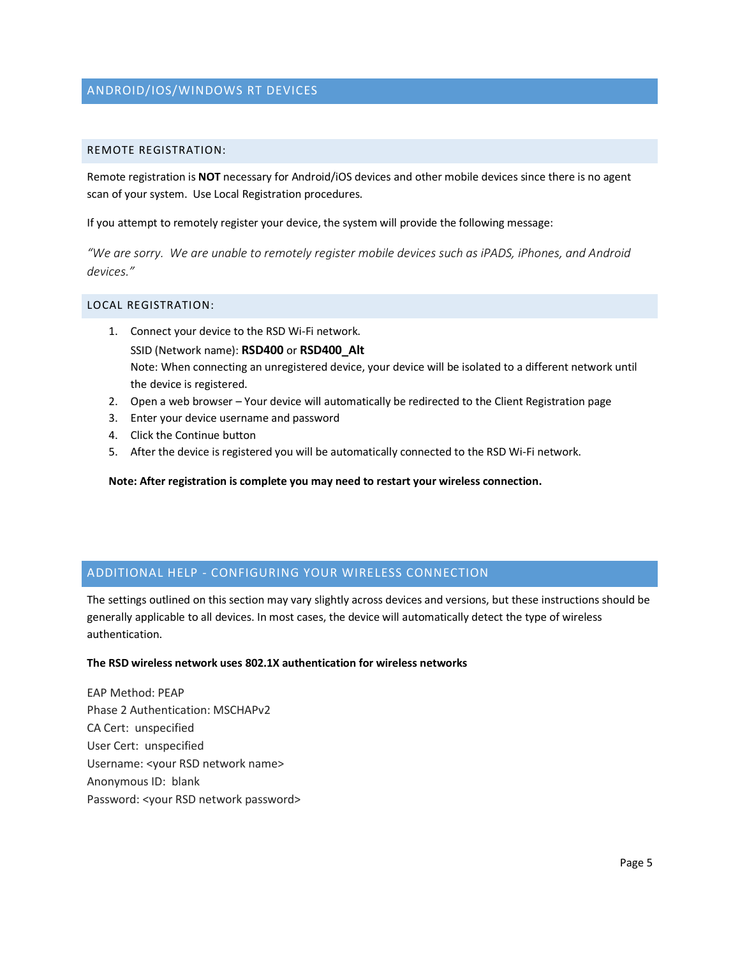# ANDROID/IOS/WINDOWS RT DEVICES

## REMOTE REGISTRATION:

Remote registration is **NOT** necessary for Android/iOS devices and other mobile devices since there is no agent scan of your system. Use Local Registration procedures.

If you attempt to remotely register your device, the system will provide the following message:

*"We are sorry. We are unable to remotely register mobile devices such as iPADS, iPhones, and Android devices."*

#### LOCAL REGISTRATION:

- 1. Connect your device to the RSD Wi-Fi network. SSID (Network name): **RSD400** or **RSD400\_Alt** Note: When connecting an unregistered device, your device will be isolated to a different network until the device is registered.
- 2. Open a web browser Your device will automatically be redirected to the Client Registration page
- 3. Enter your device username and password
- 4. Click the Continue button
- 5. After the device is registered you will be automatically connected to the RSD Wi-Fi network.

**Note: After registration is complete you may need to restart your wireless connection.**

# ADDITIONAL HELP - CONFIGURING YOUR WIRELESS CONNECTION

The settings outlined on this section may vary slightly across devices and versions, but these instructions should be generally applicable to all devices. In most cases, the device will automatically detect the type of wireless authentication.

#### **The RSD wireless network uses 802.1X authentication for wireless networks**

EAP Method: PEAP Phase 2 Authentication: MSCHAPv2 CA Cert: unspecified User Cert: unspecified Username: <your RSD network name> Anonymous ID: blank Password: <your RSD network password>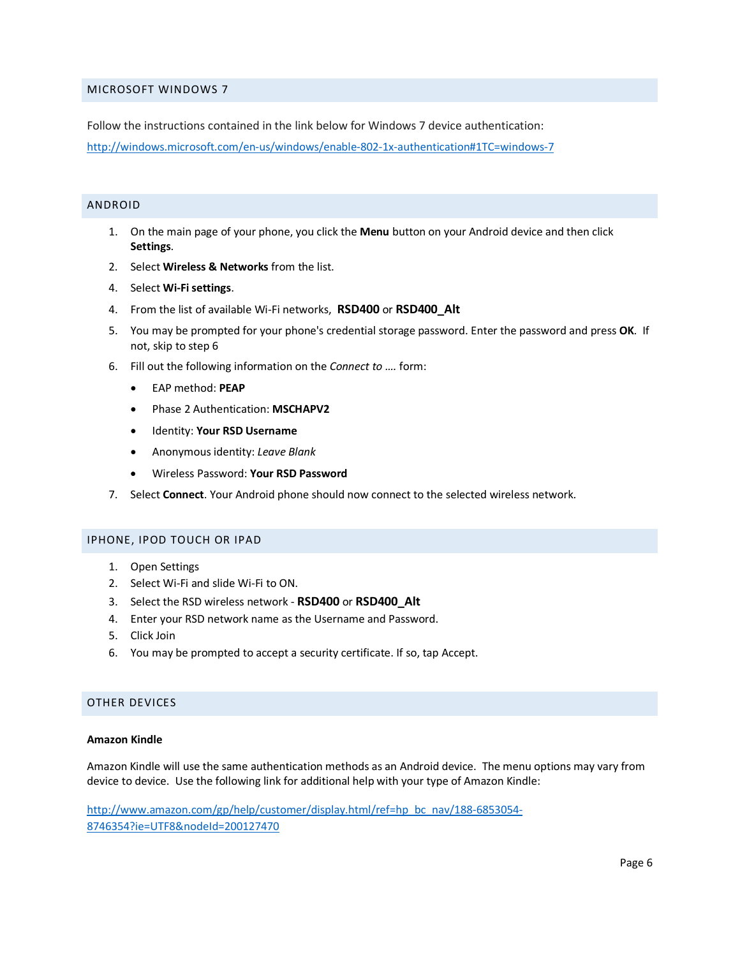# MICROSOFT WINDOWS 7

Follow the instructions contained in the link below for Windows 7 device authentication:

<http://windows.microsoft.com/en-us/windows/enable-802-1x-authentication#1TC=windows-7>

# ANDROID

- 1. On the main page of your phone, you click the **Menu** button on your Android device and then click **Settings**.
- 2. Select **Wireless & Networks** from the list.
- 4. Select **Wi-Fi settings**.
- 4. From the list of available Wi-Fi networks, **RSD400** or **RSD400\_Alt**
- 5. You may be prompted for your phone's credential storage password. Enter the password and press **OK**. If not, skip to step 6
- 6. Fill out the following information on the *Connect to ….* form:
	- EAP method: **PEAP**
	- Phase 2 Authentication: **MSCHAPV2**
	- Identity: **Your RSD Username**
	- Anonymous identity: *Leave Blank*
	- Wireless Password: **Your RSD Password**
- 7. Select **Connect**. Your Android phone should now connect to the selected wireless network.

#### IPHONE, IPOD TOUCH OR IPAD

- 1. Open Settings
- 2. Select Wi-Fi and slide Wi-Fi to ON.
- 3. Select the RSD wireless network **RSD400** or **RSD400\_Alt**
- 4. Enter your RSD network name as the Username and Password.
- 5. Click Join
- 6. You may be prompted to accept a security certificate. If so, tap Accept.

# OTHER DEVICES

#### **Amazon Kindle**

Amazon Kindle will use the same authentication methods as an Android device. The menu options may vary from device to device. Use the following link for additional help with your type of Amazon Kindle:

[http://www.amazon.com/gp/help/customer/display.html/ref=hp\\_bc\\_nav/188-6853054-](http://www.amazon.com/gp/help/customer/display.html/ref=hp_bc_nav/188-6853054-8746354?ie=UTF8&nodeId=200127470) [8746354?ie=UTF8&nodeId=200127470](http://www.amazon.com/gp/help/customer/display.html/ref=hp_bc_nav/188-6853054-8746354?ie=UTF8&nodeId=200127470)